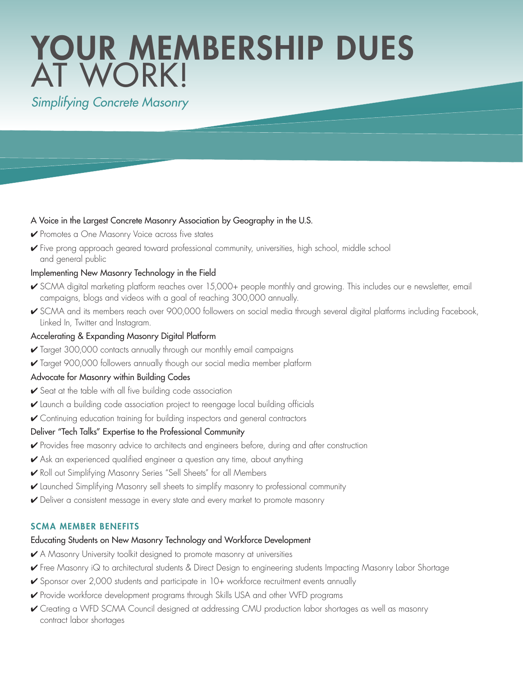# YOUR MEMBERSHIP DUES AT WORK!

# *Simplifying Concrete Masonry*

## A Voice in the Largest Concrete Masonry Association by Geography in the U.S.

- **Promotes a One Masonry Voice across five states**
- 4 Five prong approach geared toward professional community, universities, high school, middle school and general public

## Implementing New Masonry Technology in the Field

- ► SCMA digital marketing platform reaches over 15,000+ people monthly and growing. This includes our e newsletter, email campaigns, blogs and videos with a goal of reaching 300,000 annually.
- ► SCMA and its members reach over 900,000 followers on social media through several digital platforms including Facebook, Linked In, Twitter and Instagram.

## Accelerating & Expanding Masonry Digital Platform

- 4 Target 300,000 contacts annually through our monthly email campaigns
- 4 Target 900,000 followers annually though our social media member platform

# Advocate for Masonry within Building Codes

- 4 Seat at the table with all five building code association
- 4 Launch a building code association project to reengage local building officials
- 4 Continuing education training for building inspectors and general contractors

# Deliver "Tech Talks" Expertise to the Professional Community

- 4 Provides free masonry advice to architects and engineers before, during and after construction
- 4 Ask an experienced qualified engineer a question any time, about anything
- 4 Roll out Simplifying Masonry Series "Sell Sheets" for all Members
- 4 Launched Simplifying Masonry sell sheets to simplify masonry to professional community
- 4 Deliver a consistent message in every state and every market to promote masonry

# SCMA MEMBER BENEFITS

#### Educating Students on New Masonry Technology and Workforce Development

- 4 A Masonry University toolkit designed to promote masonry at universities
- 4 Free Masonry iQ to architectural students & Direct Design to engineering students Impacting Masonry Labor Shortage
- ► Sponsor over 2,000 students and participate in 10+ workforce recruitment events annually
- 4 Provide workforce development programs through Skills USA and other WFD programs
- 4 Creating a WFD SCMA Council designed at addressing CMU production labor shortages as well as masonry contract labor shortages